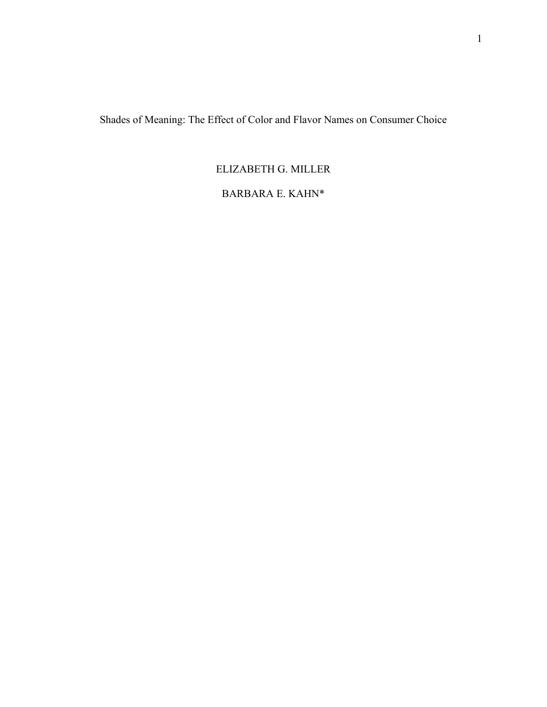Shades of Meaning: The Effect of Color and Flavor Names on Consumer Choice

# ELIZABETH G. MILLER

# BARBARA E. KAHN\*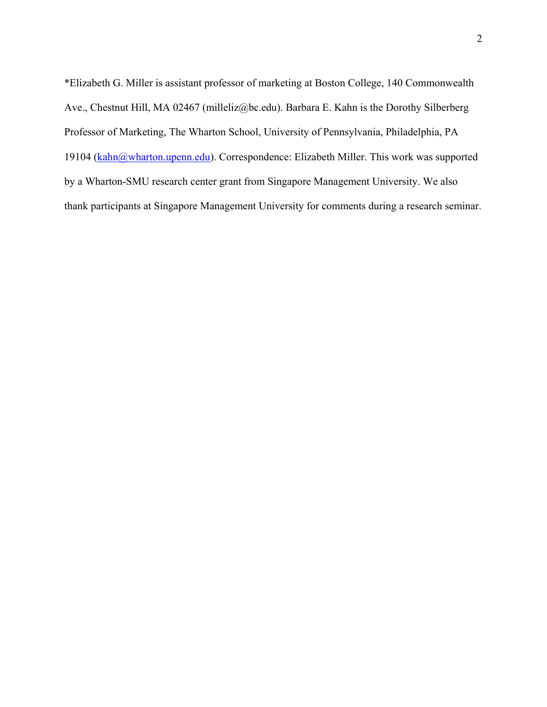\*Elizabeth G. Miller is assistant professor of marketing at Boston College, 140 Commonwealth Ave., Chestnut Hill, MA 02467 (milleliz@bc.edu). Barbara E. Kahn is the Dorothy Silberberg Professor of Marketing, The Wharton School, University of Pennsylvania, Philadelphia, PA 19104 (kahn@wharton.upenn.edu). Correspondence: Elizabeth Miller. This work was supported by a Wharton-SMU research center grant from Singapore Management University. We also thank participants at Singapore Management University for comments during a research seminar.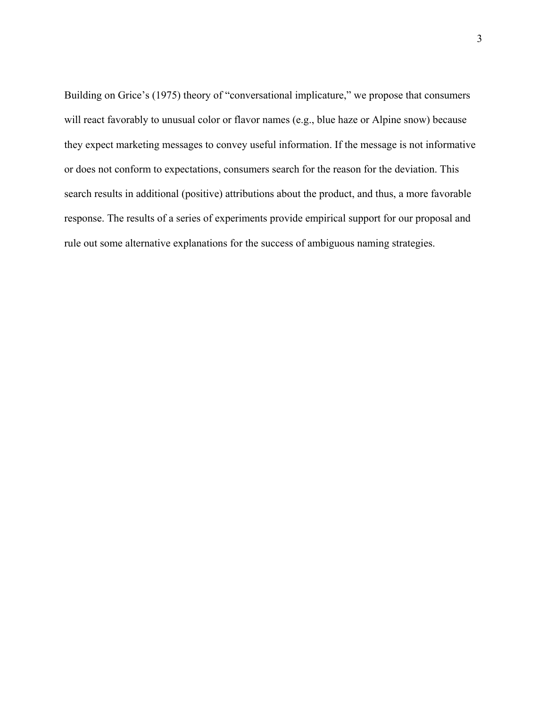Building on Grice's (1975) theory of "conversational implicature," we propose that consumers will react favorably to unusual color or flavor names (e.g., blue haze or Alpine snow) because they expect marketing messages to convey useful information. If the message is not informative or does not conform to expectations, consumers search for the reason for the deviation. This search results in additional (positive) attributions about the product, and thus, a more favorable response. The results of a series of experiments provide empirical support for our proposal and rule out some alternative explanations for the success of ambiguous naming strategies.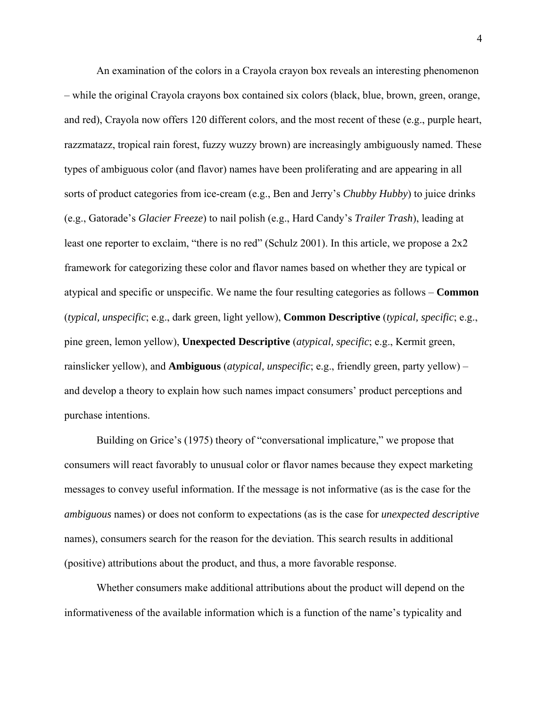An examination of the colors in a Crayola crayon box reveals an interesting phenomenon – while the original Crayola crayons box contained six colors (black, blue, brown, green, orange, and red), Crayola now offers 120 different colors, and the most recent of these (e.g., purple heart, razzmatazz, tropical rain forest, fuzzy wuzzy brown) are increasingly ambiguously named. These types of ambiguous color (and flavor) names have been proliferating and are appearing in all sorts of product categories from ice-cream (e.g., Ben and Jerry's *Chubby Hubby*) to juice drinks (e.g., Gatorade's *Glacier Freeze*) to nail polish (e.g., Hard Candy's *Trailer Trash*), leading at least one reporter to exclaim, "there is no red" (Schulz 2001). In this article, we propose a 2x2 framework for categorizing these color and flavor names based on whether they are typical or atypical and specific or unspecific. We name the four resulting categories as follows – **Common** (*typical, unspecific*; e.g., dark green, light yellow), **Common Descriptive** (*typical, specific*; e.g., pine green, lemon yellow), **Unexpected Descriptive** (*atypical, specific*; e.g., Kermit green, rainslicker yellow), and **Ambiguous** (*atypical, unspecific*; e.g., friendly green, party yellow) – and develop a theory to explain how such names impact consumers' product perceptions and purchase intentions.

 Building on Grice's (1975) theory of "conversational implicature," we propose that consumers will react favorably to unusual color or flavor names because they expect marketing messages to convey useful information. If the message is not informative (as is the case for the *ambiguous* names) or does not conform to expectations (as is the case for *unexpected descriptive* names), consumers search for the reason for the deviation. This search results in additional (positive) attributions about the product, and thus, a more favorable response.

 Whether consumers make additional attributions about the product will depend on the informativeness of the available information which is a function of the name's typicality and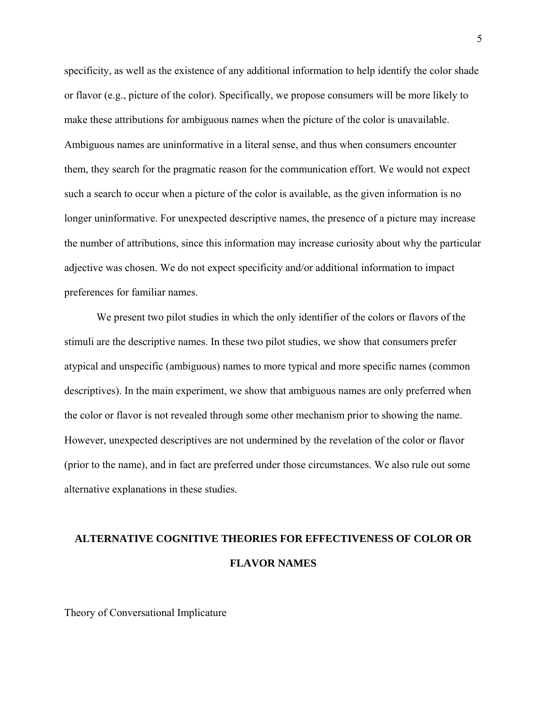specificity, as well as the existence of any additional information to help identify the color shade or flavor (e.g., picture of the color). Specifically, we propose consumers will be more likely to make these attributions for ambiguous names when the picture of the color is unavailable. Ambiguous names are uninformative in a literal sense, and thus when consumers encounter them, they search for the pragmatic reason for the communication effort. We would not expect such a search to occur when a picture of the color is available, as the given information is no longer uninformative. For unexpected descriptive names, the presence of a picture may increase the number of attributions, since this information may increase curiosity about why the particular adjective was chosen. We do not expect specificity and/or additional information to impact preferences for familiar names.

 We present two pilot studies in which the only identifier of the colors or flavors of the stimuli are the descriptive names. In these two pilot studies, we show that consumers prefer atypical and unspecific (ambiguous) names to more typical and more specific names (common descriptives). In the main experiment, we show that ambiguous names are only preferred when the color or flavor is not revealed through some other mechanism prior to showing the name. However, unexpected descriptives are not undermined by the revelation of the color or flavor (prior to the name), and in fact are preferred under those circumstances. We also rule out some alternative explanations in these studies.

# **ALTERNATIVE COGNITIVE THEORIES FOR EFFECTIVENESS OF COLOR OR FLAVOR NAMES**

Theory of Conversational Implicature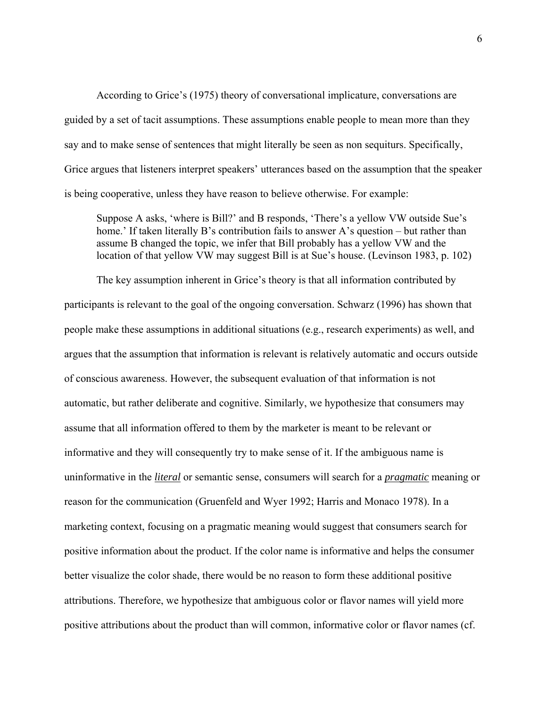According to Grice's (1975) theory of conversational implicature, conversations are guided by a set of tacit assumptions. These assumptions enable people to mean more than they say and to make sense of sentences that might literally be seen as non sequiturs. Specifically, Grice argues that listeners interpret speakers' utterances based on the assumption that the speaker is being cooperative, unless they have reason to believe otherwise. For example:

Suppose A asks, 'where is Bill?' and B responds, 'There's a yellow VW outside Sue's home.' If taken literally B's contribution fails to answer A's question – but rather than assume B changed the topic, we infer that Bill probably has a yellow VW and the location of that yellow VW may suggest Bill is at Sue's house. (Levinson 1983, p. 102)

 The key assumption inherent in Grice's theory is that all information contributed by participants is relevant to the goal of the ongoing conversation. Schwarz (1996) has shown that people make these assumptions in additional situations (e.g., research experiments) as well, and argues that the assumption that information is relevant is relatively automatic and occurs outside of conscious awareness. However, the subsequent evaluation of that information is not automatic, but rather deliberate and cognitive. Similarly, we hypothesize that consumers may assume that all information offered to them by the marketer is meant to be relevant or informative and they will consequently try to make sense of it. If the ambiguous name is uninformative in the *literal* or semantic sense, consumers will search for a *pragmatic* meaning or reason for the communication (Gruenfeld and Wyer 1992; Harris and Monaco 1978). In a marketing context, focusing on a pragmatic meaning would suggest that consumers search for positive information about the product. If the color name is informative and helps the consumer better visualize the color shade, there would be no reason to form these additional positive attributions. Therefore, we hypothesize that ambiguous color or flavor names will yield more positive attributions about the product than will common, informative color or flavor names (cf.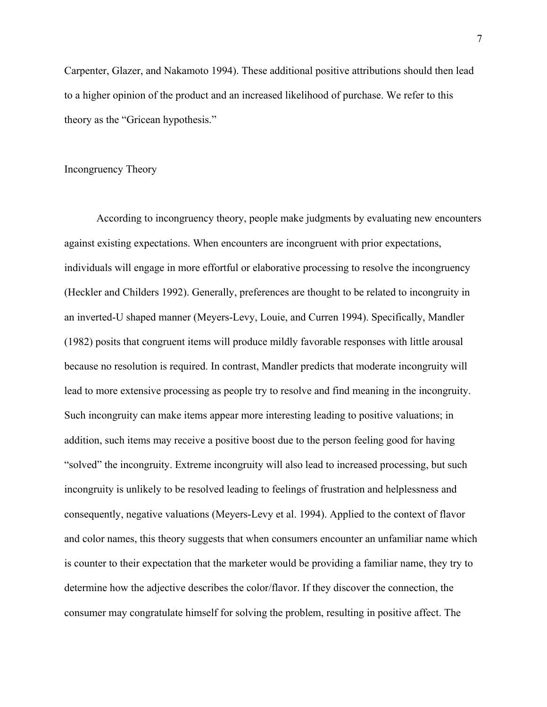Carpenter, Glazer, and Nakamoto 1994). These additional positive attributions should then lead to a higher opinion of the product and an increased likelihood of purchase. We refer to this theory as the "Gricean hypothesis."

#### Incongruency Theory

 According to incongruency theory, people make judgments by evaluating new encounters against existing expectations. When encounters are incongruent with prior expectations, individuals will engage in more effortful or elaborative processing to resolve the incongruency (Heckler and Childers 1992). Generally, preferences are thought to be related to incongruity in an inverted-U shaped manner (Meyers-Levy, Louie, and Curren 1994). Specifically, Mandler (1982) posits that congruent items will produce mildly favorable responses with little arousal because no resolution is required. In contrast, Mandler predicts that moderate incongruity will lead to more extensive processing as people try to resolve and find meaning in the incongruity. Such incongruity can make items appear more interesting leading to positive valuations; in addition, such items may receive a positive boost due to the person feeling good for having "solved" the incongruity. Extreme incongruity will also lead to increased processing, but such incongruity is unlikely to be resolved leading to feelings of frustration and helplessness and consequently, negative valuations (Meyers-Levy et al. 1994). Applied to the context of flavor and color names, this theory suggests that when consumers encounter an unfamiliar name which is counter to their expectation that the marketer would be providing a familiar name, they try to determine how the adjective describes the color/flavor. If they discover the connection, the consumer may congratulate himself for solving the problem, resulting in positive affect. The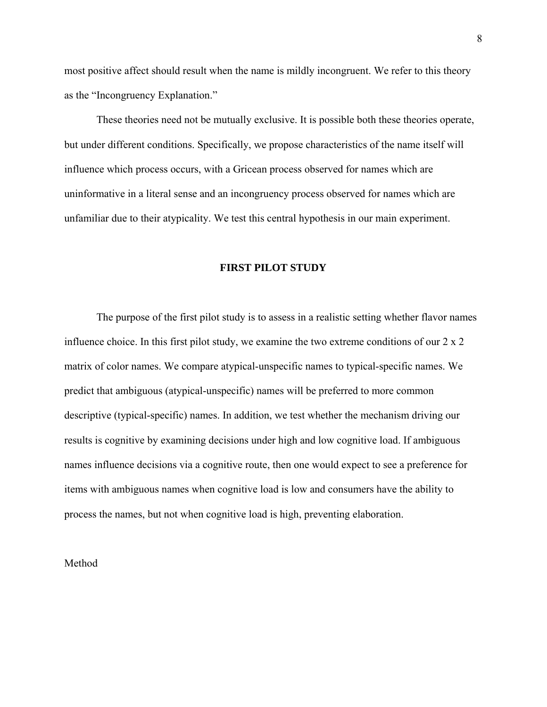most positive affect should result when the name is mildly incongruent. We refer to this theory as the "Incongruency Explanation."

These theories need not be mutually exclusive. It is possible both these theories operate, but under different conditions. Specifically, we propose characteristics of the name itself will influence which process occurs, with a Gricean process observed for names which are uninformative in a literal sense and an incongruency process observed for names which are unfamiliar due to their atypicality. We test this central hypothesis in our main experiment.

### **FIRST PILOT STUDY**

 The purpose of the first pilot study is to assess in a realistic setting whether flavor names influence choice. In this first pilot study, we examine the two extreme conditions of our 2 x 2 matrix of color names. We compare atypical-unspecific names to typical-specific names. We predict that ambiguous (atypical-unspecific) names will be preferred to more common descriptive (typical-specific) names. In addition, we test whether the mechanism driving our results is cognitive by examining decisions under high and low cognitive load. If ambiguous names influence decisions via a cognitive route, then one would expect to see a preference for items with ambiguous names when cognitive load is low and consumers have the ability to process the names, but not when cognitive load is high, preventing elaboration.

Method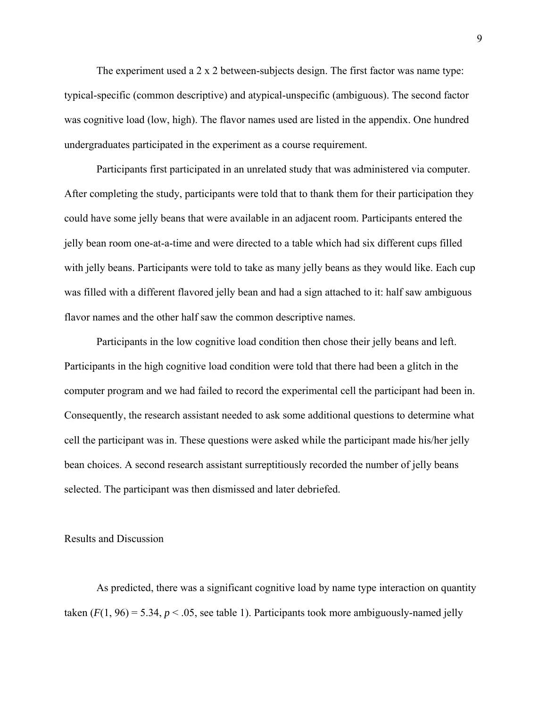The experiment used a  $2 \times 2$  between-subjects design. The first factor was name type: typical-specific (common descriptive) and atypical-unspecific (ambiguous). The second factor was cognitive load (low, high). The flavor names used are listed in the appendix. One hundred undergraduates participated in the experiment as a course requirement.

 Participants first participated in an unrelated study that was administered via computer. After completing the study, participants were told that to thank them for their participation they could have some jelly beans that were available in an adjacent room. Participants entered the jelly bean room one-at-a-time and were directed to a table which had six different cups filled with jelly beans. Participants were told to take as many jelly beans as they would like. Each cup was filled with a different flavored jelly bean and had a sign attached to it: half saw ambiguous flavor names and the other half saw the common descriptive names.

 Participants in the low cognitive load condition then chose their jelly beans and left. Participants in the high cognitive load condition were told that there had been a glitch in the computer program and we had failed to record the experimental cell the participant had been in. Consequently, the research assistant needed to ask some additional questions to determine what cell the participant was in. These questions were asked while the participant made his/her jelly bean choices. A second research assistant surreptitiously recorded the number of jelly beans selected. The participant was then dismissed and later debriefed.

#### Results and Discussion

As predicted, there was a significant cognitive load by name type interaction on quantity taken  $(F(1, 96) = 5.34, p < .05$ , see table 1). Participants took more ambiguously-named jelly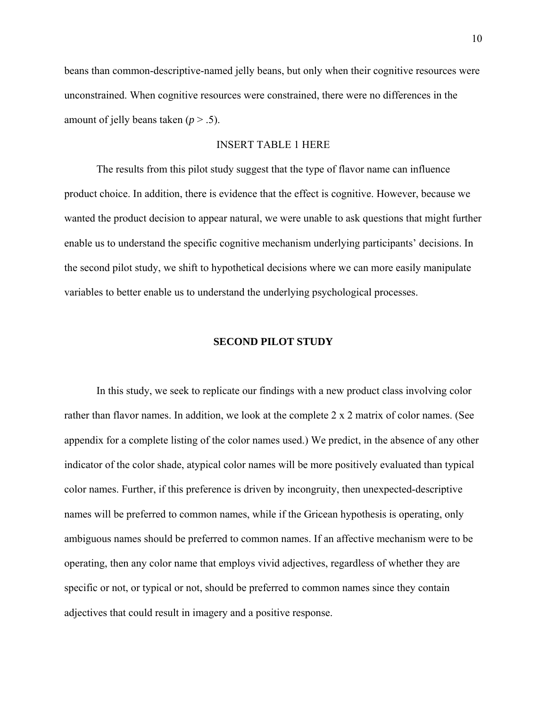beans than common-descriptive-named jelly beans, but only when their cognitive resources were unconstrained. When cognitive resources were constrained, there were no differences in the amount of jelly beans taken  $(p > .5)$ .

### INSERT TABLE 1 HERE

 The results from this pilot study suggest that the type of flavor name can influence product choice. In addition, there is evidence that the effect is cognitive. However, because we wanted the product decision to appear natural, we were unable to ask questions that might further enable us to understand the specific cognitive mechanism underlying participants' decisions. In the second pilot study, we shift to hypothetical decisions where we can more easily manipulate variables to better enable us to understand the underlying psychological processes.

#### **SECOND PILOT STUDY**

 In this study, we seek to replicate our findings with a new product class involving color rather than flavor names. In addition, we look at the complete 2 x 2 matrix of color names. (See appendix for a complete listing of the color names used.) We predict, in the absence of any other indicator of the color shade, atypical color names will be more positively evaluated than typical color names. Further, if this preference is driven by incongruity, then unexpected-descriptive names will be preferred to common names, while if the Gricean hypothesis is operating, only ambiguous names should be preferred to common names. If an affective mechanism were to be operating, then any color name that employs vivid adjectives, regardless of whether they are specific or not, or typical or not, should be preferred to common names since they contain adjectives that could result in imagery and a positive response.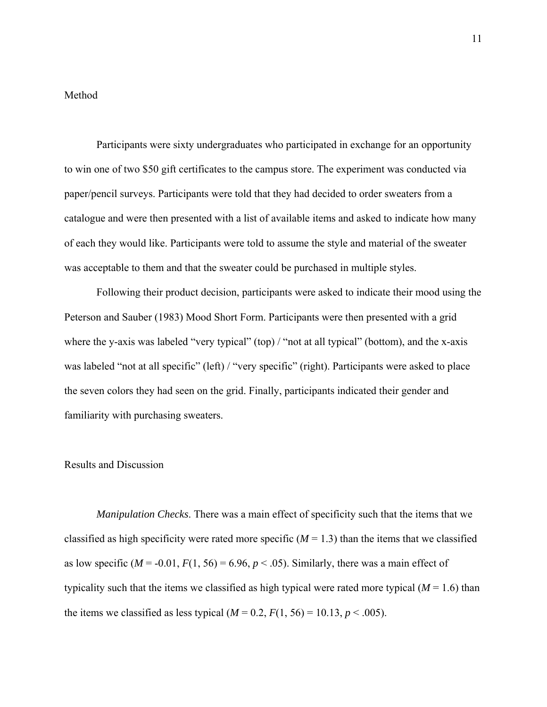### Method

 Participants were sixty undergraduates who participated in exchange for an opportunity to win one of two \$50 gift certificates to the campus store. The experiment was conducted via paper/pencil surveys. Participants were told that they had decided to order sweaters from a catalogue and were then presented with a list of available items and asked to indicate how many of each they would like. Participants were told to assume the style and material of the sweater was acceptable to them and that the sweater could be purchased in multiple styles.

 Following their product decision, participants were asked to indicate their mood using the Peterson and Sauber (1983) Mood Short Form. Participants were then presented with a grid where the y-axis was labeled "very typical" (top) / "not at all typical" (bottom), and the x-axis was labeled "not at all specific" (left) / "very specific" (right). Participants were asked to place the seven colors they had seen on the grid. Finally, participants indicated their gender and familiarity with purchasing sweaters.

### Results and Discussion

*Manipulation Checks*. There was a main effect of specificity such that the items that we classified as high specificity were rated more specific  $(M = 1.3)$  than the items that we classified as low specific  $(M = -0.01, F(1, 56) = 6.96, p < .05)$ . Similarly, there was a main effect of typicality such that the items we classified as high typical were rated more typical  $(M = 1.6)$  than the items we classified as less typical  $(M = 0.2, F(1, 56) = 10.13, p < .005)$ .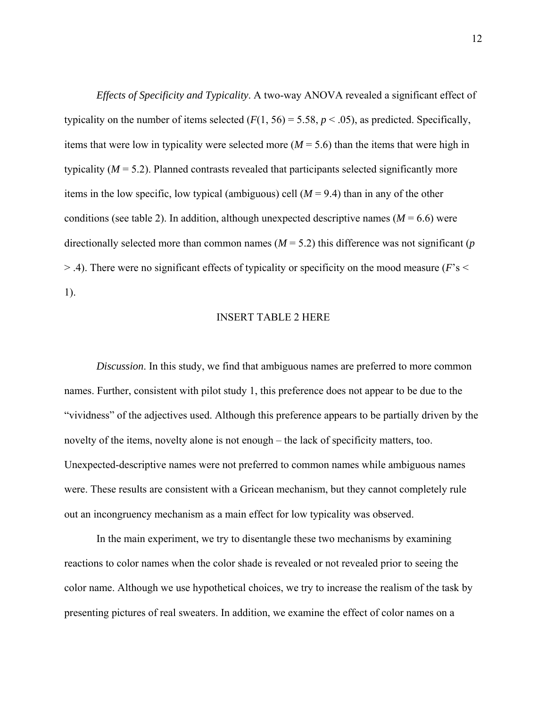*Effects of Specificity and Typicality*. A two-way ANOVA revealed a significant effect of typicality on the number of items selected  $(F(1, 56) = 5.58, p < .05)$ , as predicted. Specifically, items that were low in typicality were selected more  $(M = 5.6)$  than the items that were high in typicality  $(M = 5.2)$ . Planned contrasts revealed that participants selected significantly more items in the low specific, low typical (ambiguous) cell  $(M = 9.4)$  than in any of the other conditions (see table 2). In addition, although unexpected descriptive names ( $M = 6.6$ ) were directionally selected more than common names ( $M = 5.2$ ) this difference was not significant (*p* > .4). There were no significant effects of typicality or specificity on the mood measure (*F*'s < 1).

#### INSERT TABLE 2 HERE

*Discussion*. In this study, we find that ambiguous names are preferred to more common names. Further, consistent with pilot study 1, this preference does not appear to be due to the "vividness" of the adjectives used. Although this preference appears to be partially driven by the novelty of the items, novelty alone is not enough – the lack of specificity matters, too. Unexpected-descriptive names were not preferred to common names while ambiguous names were. These results are consistent with a Gricean mechanism, but they cannot completely rule out an incongruency mechanism as a main effect for low typicality was observed.

In the main experiment, we try to disentangle these two mechanisms by examining reactions to color names when the color shade is revealed or not revealed prior to seeing the color name. Although we use hypothetical choices, we try to increase the realism of the task by presenting pictures of real sweaters. In addition, we examine the effect of color names on a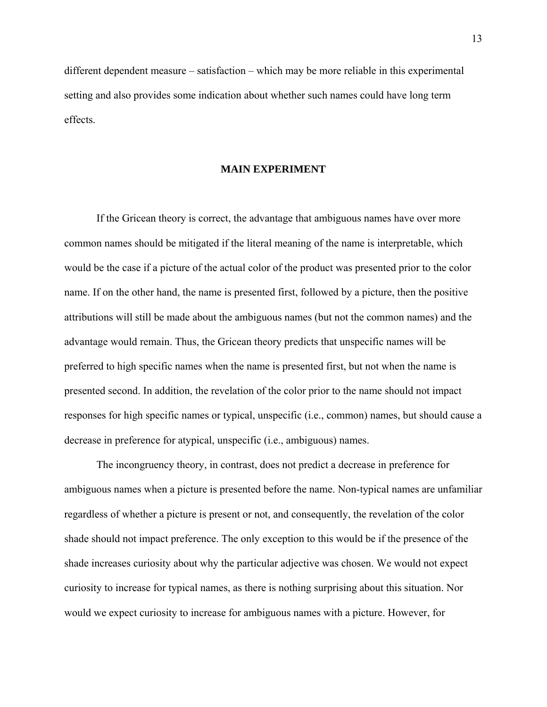different dependent measure – satisfaction – which may be more reliable in this experimental setting and also provides some indication about whether such names could have long term effects.

#### **MAIN EXPERIMENT**

 If the Gricean theory is correct, the advantage that ambiguous names have over more common names should be mitigated if the literal meaning of the name is interpretable, which would be the case if a picture of the actual color of the product was presented prior to the color name. If on the other hand, the name is presented first, followed by a picture, then the positive attributions will still be made about the ambiguous names (but not the common names) and the advantage would remain. Thus, the Gricean theory predicts that unspecific names will be preferred to high specific names when the name is presented first, but not when the name is presented second. In addition, the revelation of the color prior to the name should not impact responses for high specific names or typical, unspecific (i.e., common) names, but should cause a decrease in preference for atypical, unspecific (i.e., ambiguous) names.

 The incongruency theory, in contrast, does not predict a decrease in preference for ambiguous names when a picture is presented before the name. Non-typical names are unfamiliar regardless of whether a picture is present or not, and consequently, the revelation of the color shade should not impact preference. The only exception to this would be if the presence of the shade increases curiosity about why the particular adjective was chosen. We would not expect curiosity to increase for typical names, as there is nothing surprising about this situation. Nor would we expect curiosity to increase for ambiguous names with a picture. However, for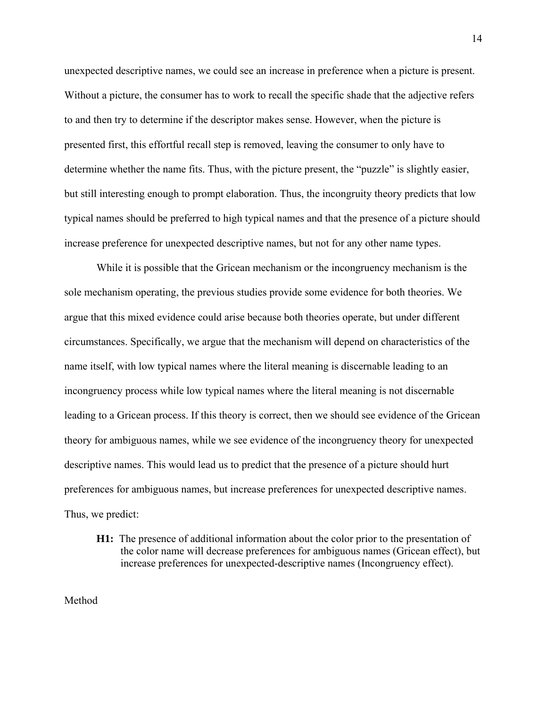unexpected descriptive names, we could see an increase in preference when a picture is present. Without a picture, the consumer has to work to recall the specific shade that the adjective refers to and then try to determine if the descriptor makes sense. However, when the picture is presented first, this effortful recall step is removed, leaving the consumer to only have to determine whether the name fits. Thus, with the picture present, the "puzzle" is slightly easier, but still interesting enough to prompt elaboration. Thus, the incongruity theory predicts that low typical names should be preferred to high typical names and that the presence of a picture should increase preference for unexpected descriptive names, but not for any other name types.

 While it is possible that the Gricean mechanism or the incongruency mechanism is the sole mechanism operating, the previous studies provide some evidence for both theories. We argue that this mixed evidence could arise because both theories operate, but under different circumstances. Specifically, we argue that the mechanism will depend on characteristics of the name itself, with low typical names where the literal meaning is discernable leading to an incongruency process while low typical names where the literal meaning is not discernable leading to a Gricean process. If this theory is correct, then we should see evidence of the Gricean theory for ambiguous names, while we see evidence of the incongruency theory for unexpected descriptive names. This would lead us to predict that the presence of a picture should hurt preferences for ambiguous names, but increase preferences for unexpected descriptive names. Thus, we predict:

**H1:** The presence of additional information about the color prior to the presentation of the color name will decrease preferences for ambiguous names (Gricean effect), but increase preferences for unexpected-descriptive names (Incongruency effect).

Method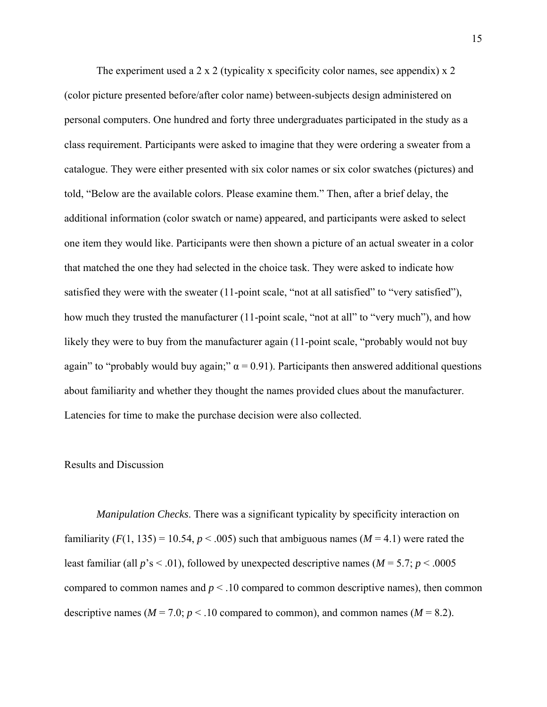The experiment used a 2 x 2 (typicality x specificity color names, see appendix) x 2 (color picture presented before/after color name) between-subjects design administered on personal computers. One hundred and forty three undergraduates participated in the study as a class requirement. Participants were asked to imagine that they were ordering a sweater from a catalogue. They were either presented with six color names or six color swatches (pictures) and told, "Below are the available colors. Please examine them." Then, after a brief delay, the additional information (color swatch or name) appeared, and participants were asked to select one item they would like. Participants were then shown a picture of an actual sweater in a color that matched the one they had selected in the choice task. They were asked to indicate how satisfied they were with the sweater (11-point scale, "not at all satisfied" to "very satisfied"), how much they trusted the manufacturer (11-point scale, "not at all" to "very much"), and how likely they were to buy from the manufacturer again (11-point scale, "probably would not buy again" to "probably would buy again;"  $\alpha$  = 0.91). Participants then answered additional questions about familiarity and whether they thought the names provided clues about the manufacturer. Latencies for time to make the purchase decision were also collected.

### Results and Discussion

*Manipulation Checks*. There was a significant typicality by specificity interaction on familiarity  $(F(1, 135) = 10.54, p < .005)$  such that ambiguous names  $(M = 4.1)$  were rated the least familiar (all  $p$ 's < .01), followed by unexpected descriptive names ( $M = 5.7$ ;  $p < .0005$ compared to common names and  $p < 0.10$  compared to common descriptive names), then common descriptive names ( $M = 7.0$ ;  $p < .10$  compared to common), and common names ( $M = 8.2$ ).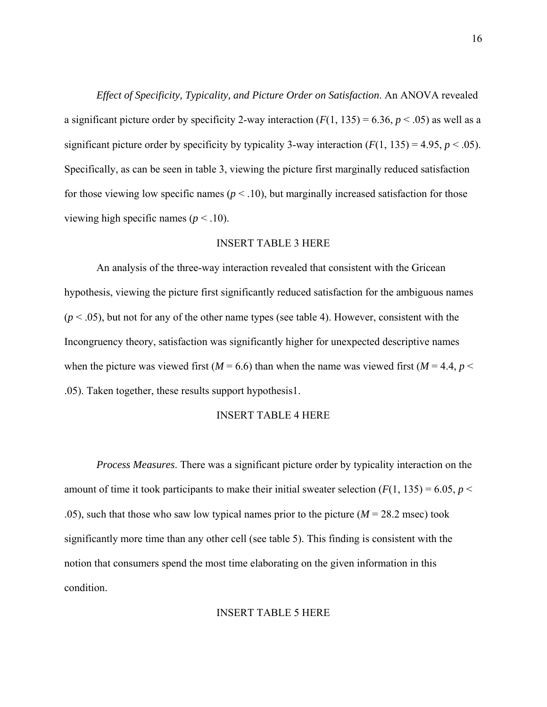*Effect of Specificity, Typicality, and Picture Order on Satisfaction*. An ANOVA revealed a significant picture order by specificity 2-way interaction  $(F(1, 135) = 6.36, p < .05)$  as well as a significant picture order by specificity by typicality 3-way interaction  $(F(1, 135) = 4.95, p < .05)$ . Specifically, as can be seen in table 3, viewing the picture first marginally reduced satisfaction for those viewing low specific names  $(p < .10)$ , but marginally increased satisfaction for those viewing high specific names ( $p < .10$ ).

#### INSERT TABLE 3 HERE

 An analysis of the three-way interaction revealed that consistent with the Gricean hypothesis, viewing the picture first significantly reduced satisfaction for the ambiguous names  $(p < .05)$ , but not for any of the other name types (see table 4). However, consistent with the Incongruency theory, satisfaction was significantly higher for unexpected descriptive names when the picture was viewed first ( $M = 6.6$ ) than when the name was viewed first ( $M = 4.4$ ,  $p <$ .05). Taken together, these results support hypothesis1.

### INSERT TABLE 4 HERE

*Process Measures*. There was a significant picture order by typicality interaction on the amount of time it took participants to make their initial sweater selection  $(F(1, 135) = 6.05, p <$ .05), such that those who saw low typical names prior to the picture  $(M = 28.2 \text{ msec})$  took significantly more time than any other cell (see table 5). This finding is consistent with the notion that consumers spend the most time elaborating on the given information in this condition.

#### INSERT TABLE 5 HERE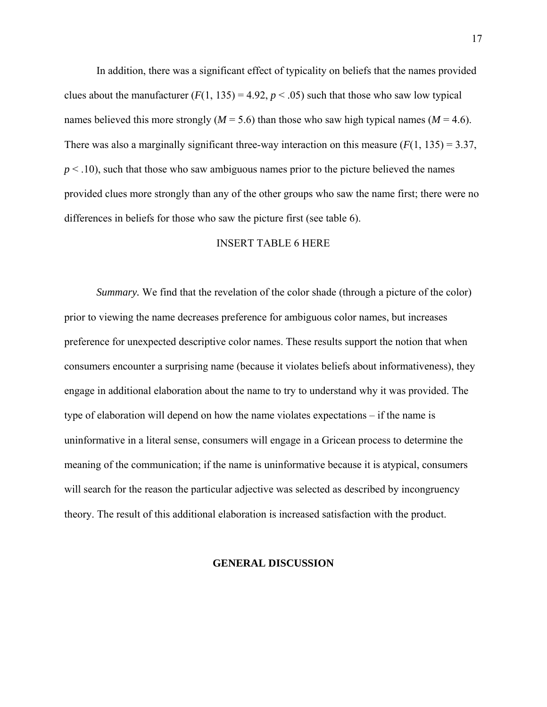In addition, there was a significant effect of typicality on beliefs that the names provided clues about the manufacturer  $(F(1, 135) = 4.92, p < .05)$  such that those who saw low typical names believed this more strongly ( $M = 5.6$ ) than those who saw high typical names ( $M = 4.6$ ). There was also a marginally significant three-way interaction on this measure  $(F(1, 135) = 3.37,$  $p < .10$ ), such that those who saw ambiguous names prior to the picture believed the names provided clues more strongly than any of the other groups who saw the name first; there were no differences in beliefs for those who saw the picture first (see table 6).

### INSERT TABLE 6 HERE

*Summary.* We find that the revelation of the color shade (through a picture of the color) prior to viewing the name decreases preference for ambiguous color names, but increases preference for unexpected descriptive color names. These results support the notion that when consumers encounter a surprising name (because it violates beliefs about informativeness), they engage in additional elaboration about the name to try to understand why it was provided. The type of elaboration will depend on how the name violates expectations – if the name is uninformative in a literal sense, consumers will engage in a Gricean process to determine the meaning of the communication; if the name is uninformative because it is atypical, consumers will search for the reason the particular adjective was selected as described by incongruency theory. The result of this additional elaboration is increased satisfaction with the product.

#### **GENERAL DISCUSSION**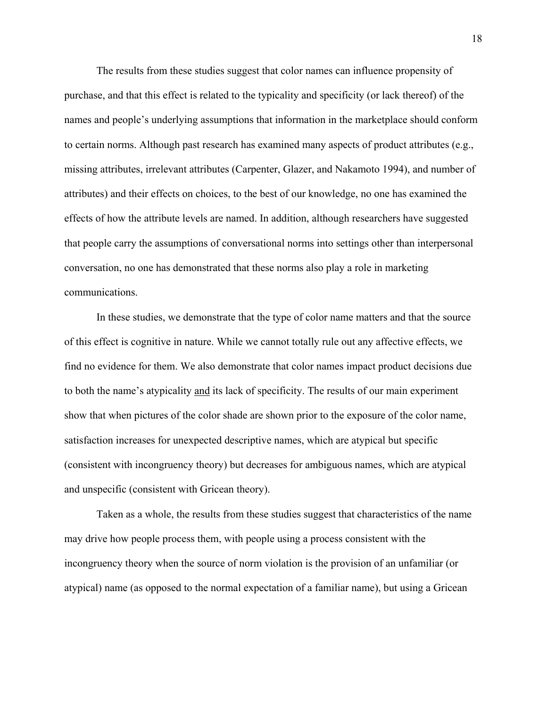The results from these studies suggest that color names can influence propensity of purchase, and that this effect is related to the typicality and specificity (or lack thereof) of the names and people's underlying assumptions that information in the marketplace should conform to certain norms. Although past research has examined many aspects of product attributes (e.g., missing attributes, irrelevant attributes (Carpenter, Glazer, and Nakamoto 1994), and number of attributes) and their effects on choices, to the best of our knowledge, no one has examined the effects of how the attribute levels are named. In addition, although researchers have suggested that people carry the assumptions of conversational norms into settings other than interpersonal conversation, no one has demonstrated that these norms also play a role in marketing communications.

 In these studies, we demonstrate that the type of color name matters and that the source of this effect is cognitive in nature. While we cannot totally rule out any affective effects, we find no evidence for them. We also demonstrate that color names impact product decisions due to both the name's atypicality and its lack of specificity. The results of our main experiment show that when pictures of the color shade are shown prior to the exposure of the color name, satisfaction increases for unexpected descriptive names, which are atypical but specific (consistent with incongruency theory) but decreases for ambiguous names, which are atypical and unspecific (consistent with Gricean theory).

 Taken as a whole, the results from these studies suggest that characteristics of the name may drive how people process them, with people using a process consistent with the incongruency theory when the source of norm violation is the provision of an unfamiliar (or atypical) name (as opposed to the normal expectation of a familiar name), but using a Gricean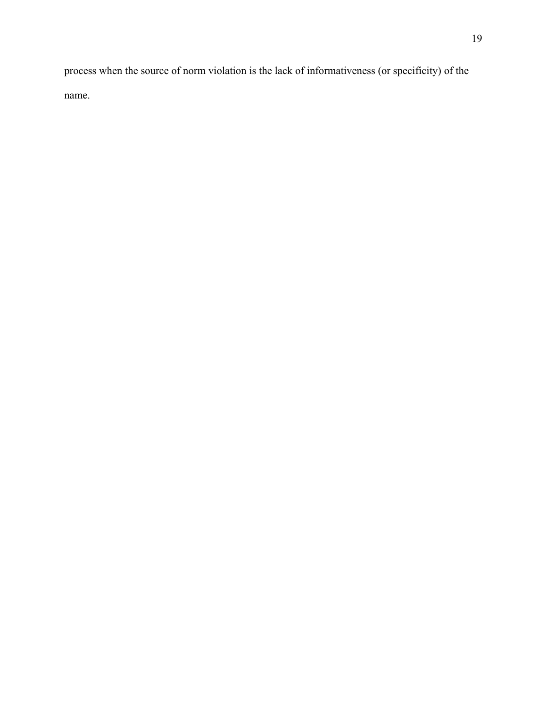process when the source of norm violation is the lack of informativeness (or specificity) of the name.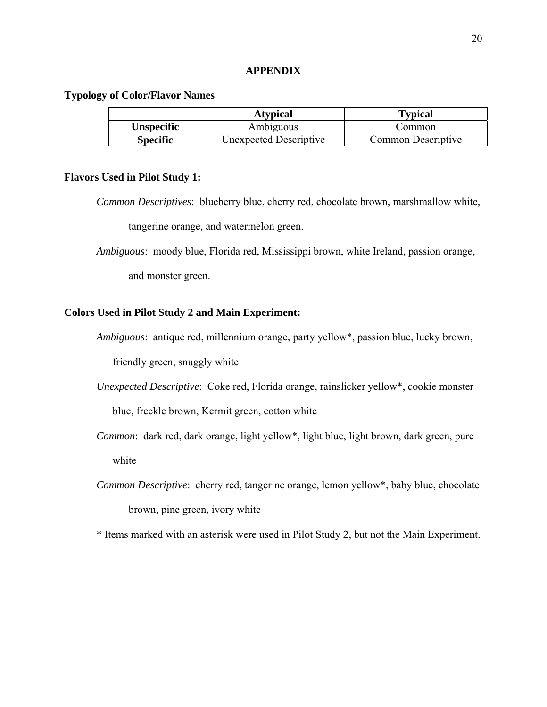#### **APPENDIX**

### **Typology of Color/Flavor Names**

|                 | <b>Atypical</b>        | <b>Typical</b>     |  |
|-----------------|------------------------|--------------------|--|
| Unspecific      | Ambiguous              | Common             |  |
| <b>Specific</b> | Unexpected Descriptive | Common Descriptive |  |

#### **Flavors Used in Pilot Study 1:**

*Common Descriptives*: blueberry blue, cherry red, chocolate brown, marshmallow white, tangerine orange, and watermelon green.

*Ambiguous*: moody blue, Florida red, Mississippi brown, white Ireland, passion orange,

and monster green.

### **Colors Used in Pilot Study 2 and Main Experiment:**

*Ambiguous*: antique red, millennium orange, party yellow\*, passion blue, lucky brown,

friendly green, snuggly white

- *Unexpected Descriptive*: Coke red, Florida orange, rainslicker yellow\*, cookie monster blue, freckle brown, Kermit green, cotton white
- *Common*: dark red, dark orange, light yellow\*, light blue, light brown, dark green, pure white
- *Common Descriptive*: cherry red, tangerine orange, lemon yellow\*, baby blue, chocolate brown, pine green, ivory white

\* Items marked with an asterisk were used in Pilot Study 2, but not the Main Experiment.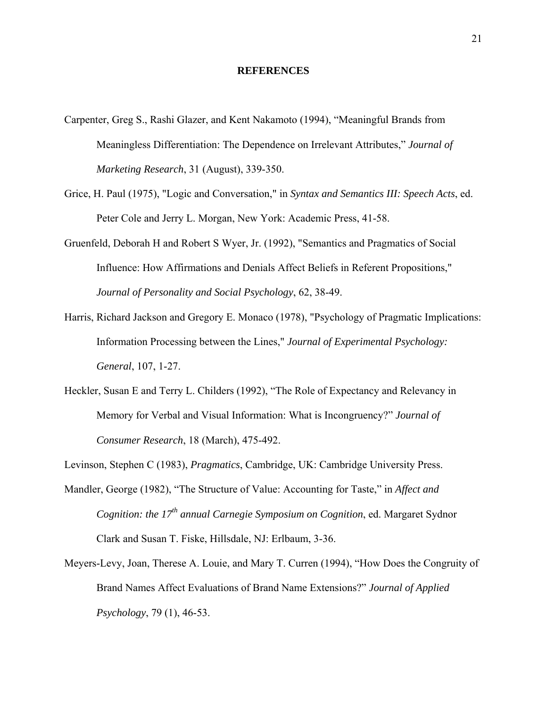#### **REFERENCES**

- Carpenter, Greg S., Rashi Glazer, and Kent Nakamoto (1994), "Meaningful Brands from Meaningless Differentiation: The Dependence on Irrelevant Attributes," *Journal of Marketing Research*, 31 (August), 339-350.
- Grice, H. Paul (1975), "Logic and Conversation," in *Syntax and Semantics III: Speech Acts*, ed. Peter Cole and Jerry L. Morgan, New York: Academic Press, 41-58.
- Gruenfeld, Deborah H and Robert S Wyer, Jr. (1992), "Semantics and Pragmatics of Social Influence: How Affirmations and Denials Affect Beliefs in Referent Propositions," *Journal of Personality and Social Psychology*, 62, 38-49.
- Harris, Richard Jackson and Gregory E. Monaco (1978), "Psychology of Pragmatic Implications: Information Processing between the Lines," *Journal of Experimental Psychology: General*, 107, 1-27.
- Heckler, Susan E and Terry L. Childers (1992), "The Role of Expectancy and Relevancy in Memory for Verbal and Visual Information: What is Incongruency?" *Journal of Consumer Research*, 18 (March), 475-492.
- Levinson, Stephen C (1983), *Pragmatics*, Cambridge, UK: Cambridge University Press.
- Mandler, George (1982), "The Structure of Value: Accounting for Taste," in *Affect and Cognition: the 17th annual Carnegie Symposium on Cognition*, ed. Margaret Sydnor Clark and Susan T. Fiske, Hillsdale, NJ: Erlbaum, 3-36.
- Meyers-Levy, Joan, Therese A. Louie, and Mary T. Curren (1994), "How Does the Congruity of Brand Names Affect Evaluations of Brand Name Extensions?" *Journal of Applied Psychology*, 79 (1), 46-53.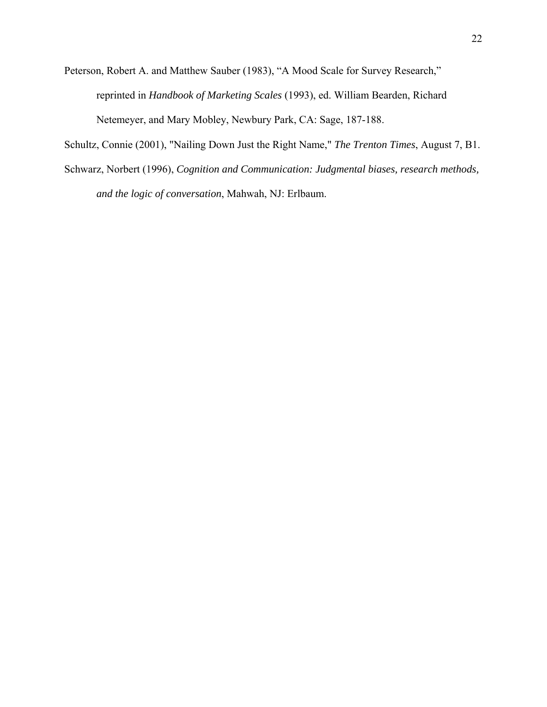Peterson, Robert A. and Matthew Sauber (1983), "A Mood Scale for Survey Research," reprinted in *Handbook of Marketing Scales* (1993), ed. William Bearden, Richard Netemeyer, and Mary Mobley, Newbury Park, CA: Sage, 187-188.

Schultz, Connie (2001), "Nailing Down Just the Right Name," *The Trenton Times*, August 7, B1.

Schwarz, Norbert (1996), *Cognition and Communication: Judgmental biases, research methods, and the logic of conversation*, Mahwah, NJ: Erlbaum.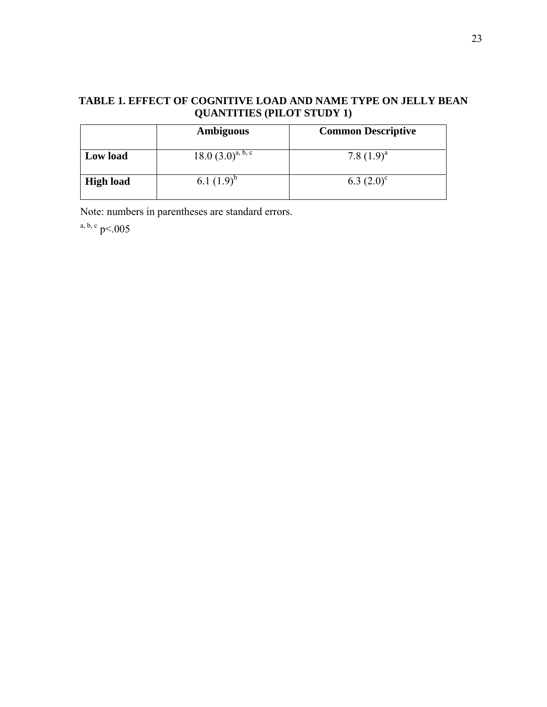# **TABLE 1. EFFECT OF COGNITIVE LOAD AND NAME TYPE ON JELLY BEAN QUANTITIES (PILOT STUDY 1)**

|                  | <b>Ambiguous</b>       | <b>Common Descriptive</b> |
|------------------|------------------------|---------------------------|
| Low load         | $18.0 (3.0)^{a, b, c}$ | 7.8 $(1.9)^a$             |
| <b>High load</b> | 6.1 $(1.9)^{6}$        | 6.3 $(2.0)^{\circ}$       |

Note: numbers in parentheses are standard errors.

a, b, c  $p<0.005$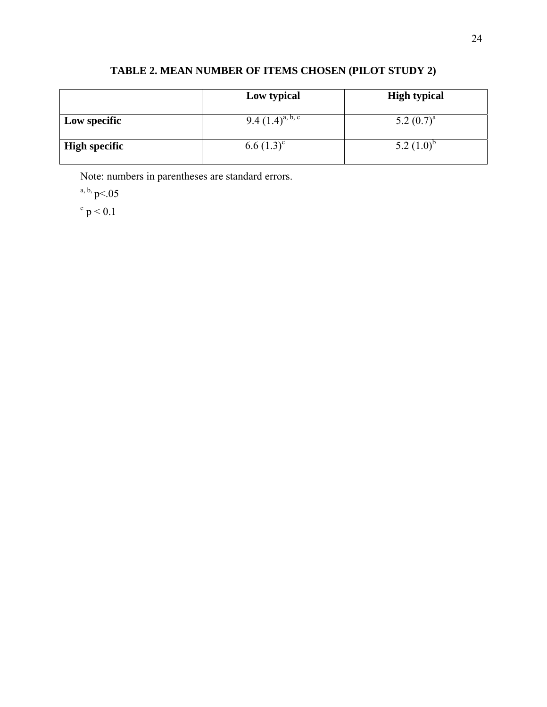|                      | Low typical           | <b>High typical</b> |
|----------------------|-----------------------|---------------------|
| <b>Low specific</b>  | 9.4 $(1.4)^{a, b, c}$ | 5.2 $(0.7)^a$       |
| <b>High specific</b> | $6.6(1.3)^c$          | 5.2 $(1.0)^b$       |

# **TABLE 2. MEAN NUMBER OF ITEMS CHOSEN (PILOT STUDY 2)**

Note: numbers in parentheses are standard errors.

a, b,  $p<0.05$ 

 $c$  p  $< 0.1$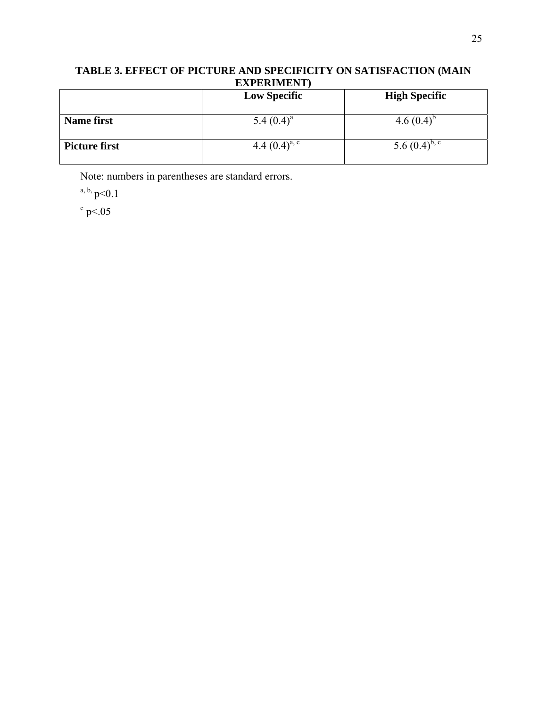# **TABLE 3. EFFECT OF PICTURE AND SPECIFICITY ON SATISFACTION (MAIN EXPERIMENT)**

|                      | <b>Low Specific</b> | <b>High Specific</b> |
|----------------------|---------------------|----------------------|
| <b>Name first</b>    | 5.4 $(0.4)^a$       | 4.6 $(0.4)^{6}$      |
| <b>Picture first</b> | 4.4 $(0.4)^{a, c}$  | 5.6 $(0.4)^{b,c}$    |

Note: numbers in parentheses are standard errors.

a, b,  $p<0.1$ 

 $\degree$  p < .05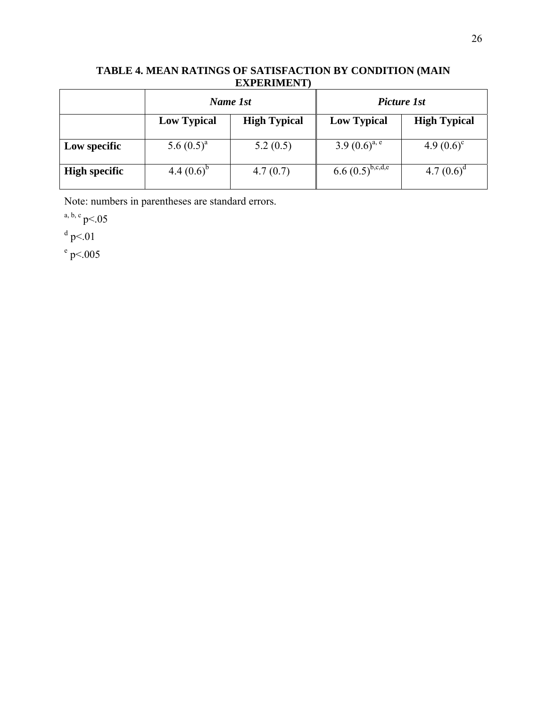# **TABLE 4. MEAN RATINGS OF SATISFACTION BY CONDITION (MAIN EXPERIMENT)**

|                      | Name 1st           |                     | Picture 1st           |                     |
|----------------------|--------------------|---------------------|-----------------------|---------------------|
|                      | <b>Low Typical</b> | <b>High Typical</b> | <b>Low Typical</b>    | <b>High Typical</b> |
| Low specific         | 5.6 $(0.5)^a$      | 5.2(0.5)            | 3.9 $(0.6)^{a, e}$    | 4.9 $(0.6)^{\circ}$ |
| <b>High specific</b> | 4.4 $(0.6)^{6}$    | 4.7(0.7)            | $6.6 (0.5)^{b,c,d,e}$ | 4.7 $(0.6)^a$       |

Note: numbers in parentheses are standard errors.

a, b, c  $p<0.05$ 

 $d$  p < 01

 $^{\circ}$  p < 005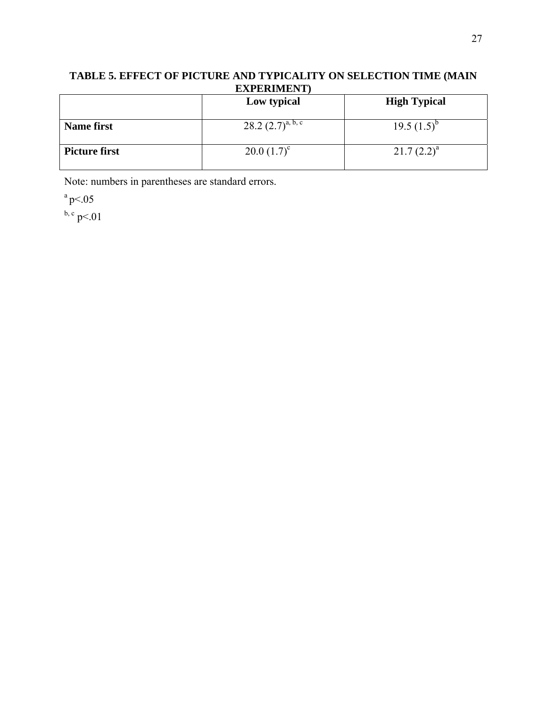# **TABLE 5. EFFECT OF PICTURE AND TYPICALITY ON SELECTION TIME (MAIN EXPERIMENT)**

|                      | Low typical            | <b>High Typical</b> |
|----------------------|------------------------|---------------------|
| <b>Name first</b>    | 28.2 $(2.7)^{a, b, c}$ | 19.5 $(1.5)^{6}$    |
| <b>Picture first</b> | $20.0(1.7)^c$          | $21.7(2.2)^a$       |

Note: numbers in parentheses are standard errors.

 $a$  p < 05

 $^{b, c}$  p < 01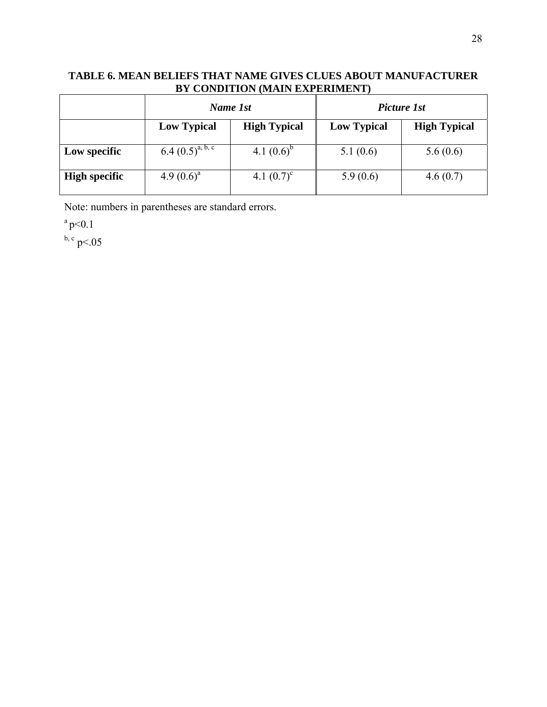# **TABLE 6. MEAN BELIEFS THAT NAME GIVES CLUES ABOUT MANUFACTURER BY CONDITION (MAIN EXPERIMENT)**

|                      | Name 1st              |                     | Picture 1st        |                     |
|----------------------|-----------------------|---------------------|--------------------|---------------------|
|                      | <b>Low Typical</b>    | <b>High Typical</b> | <b>Low Typical</b> | <b>High Typical</b> |
| Low specific         | 6.4 $(0.5)^{a, b, c}$ | 4.1 $(0.6)^b$       | 5.1(0.6)           | 5.6(0.6)            |
| <b>High specific</b> | 4.9 $(0.6)^a$         | 4.1 $(0.7)^{\circ}$ | 5.9(0.6)           | 4.6(0.7)            |

Note: numbers in parentheses are standard errors.

 $a$  p < 0.1

 $^{\rm b, c}$  p < 05